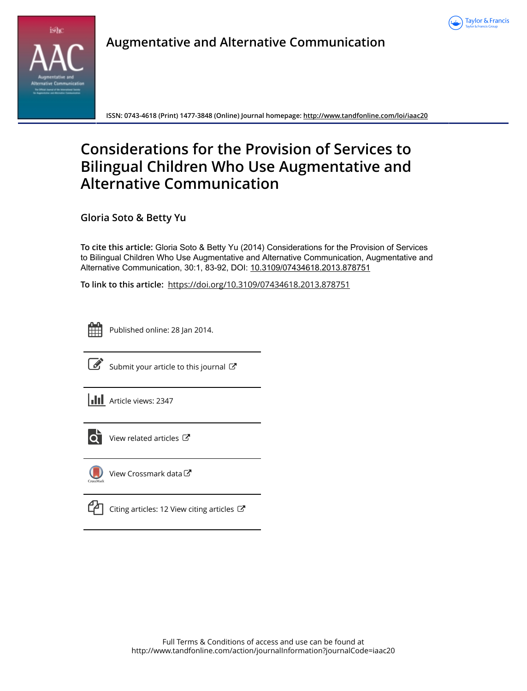



**Augmentative and Alternative Communication**

**ISSN: 0743-4618 (Print) 1477-3848 (Online) Journal homepage:<http://www.tandfonline.com/loi/iaac20>**

# **Considerations for the Provision of Services to Bilingual Children Who Use Augmentative and Alternative Communication**

**Gloria Soto & Betty Yu**

**To cite this article:** Gloria Soto & Betty Yu (2014) Considerations for the Provision of Services to Bilingual Children Who Use Augmentative and Alternative Communication, Augmentative and Alternative Communication, 30:1, 83-92, DOI: [10.3109/07434618.2013.878751](http://www.tandfonline.com/action/showCitFormats?doi=10.3109/07434618.2013.878751)

**To link to this article:** <https://doi.org/10.3109/07434618.2013.878751>



Published online: 28 Jan 2014.



 $\overrightarrow{S}$  [Submit your article to this journal](http://www.tandfonline.com/action/authorSubmission?journalCode=iaac20&show=instructions)  $\overrightarrow{S}$ 





 $\overline{Q}$  [View related articles](http://www.tandfonline.com/doi/mlt/10.3109/07434618.2013.878751)  $\overline{C}$ 



[View Crossmark data](http://crossmark.crossref.org/dialog/?doi=10.3109/07434618.2013.878751&domain=pdf&date_stamp=2014-01-28)<sup>C</sup>

 $\mathbb{C}$  [Citing articles: 12 View citing articles](http://www.tandfonline.com/doi/citedby/10.3109/07434618.2013.878751#tabModule)  $\mathbb{C}$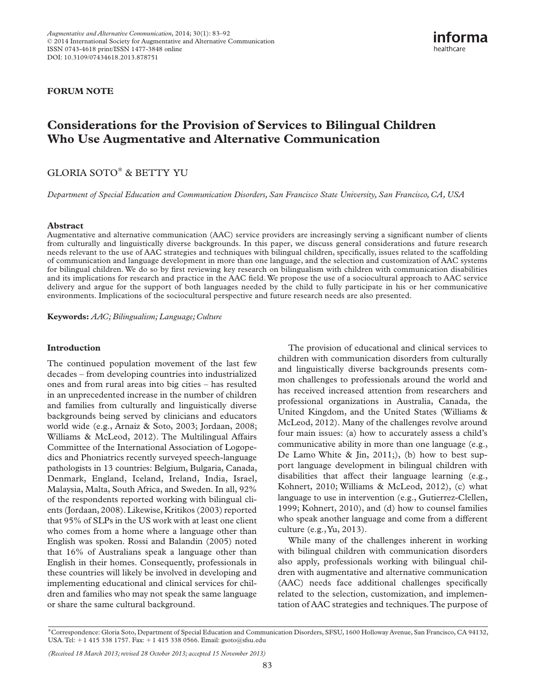**FORUM NOTE** 

## **Considerations for the Provision of Services to Bilingual Children Who Use Augmentative and Alternative Communication**

GLORIA SOTO<sup>\*</sup> & BETTY YU

*Department of Special Education and Communication Disorders, San Francisco State University, San Francisco, CA, USA* 

#### **Abstract**

Augmentative and alternative communication (AAC) service providers are increasingly serving a significant number of clients from culturally and linguistically diverse backgrounds. In this paper, we discuss general considerations and future research needs relevant to the use of AAC strategies and techniques with bilingual children, specifically, issues related to the scaffolding of communication and language development in more than one language, and the selection and customization of AAC systems for bilingual children. We do so by first reviewing key research on bilingualism with children with communication disabilities and its implications for research and practice in the AAC field. We propose the use of a sociocultural approach to AAC service delivery and argue for the support of both languages needed by the child to fully participate in his or her communicative environments. Implications of the sociocultural perspective and future research needs are also presented.

**Keywords:** *AAC; Bilingualism; Language; Culture* 

#### **Introduction**

The continued population movement of the last few decades –from developing countries into industrialized ones and from rural areas into big cities –has resulted in an unprecedented increase in the number of children and families from culturally and linguistically diverse backgrounds being served by clinicians and educators world wide (e.g., Arnaiz & Soto, 2003; Jordaan, 2008; Williams & McLeod, 2012). The Multilingual Affairs Committee of the International Association of Logopedics and Phoniatrics recently surveyed speech-language pathologists in 13 countries: Belgium, Bulgaria, Canada, Denmark, England, Iceland, Ireland, India, Israel, Malaysia, Malta, South Africa, and Sweden. In all, 92% of the respondents reported working with bilingual clients (Jordaan, 2008). Likewise, Kritikos (2003) reported that 95% of SLPs in the US work with at least one client who comes from a home where a language other than English was spoken. Rossi and Balandin (2005) noted that 16% of Australians speak a language other than English in their homes. Consequently, professionals in these countries will likely be involved in developing and implementing educational and clinical services for children and families who may not speak the same language or share the same cultural background.

The provision of educational and clinical services to children with communication disorders from culturally and linguistically diverse backgrounds presents common challenges to professionals around the world and has received increased attention from researchers and professional organizations in Australia, Canada, the United Kingdom, and the United States (Williams & McLeod, 2012). Many of the challenges revolve around four main issues: (a) how to accurately assess a child's communicative ability in more than one language (e.g., De Lamo White  $\&$  Jin, 2011;), (b) how to best support language development in bilingual children with disabilities that affect their language learning (e.g., Kohnert, 2010; Williams & McLeod, 2012), (c) what language to use in intervention (e.g., Gutierrez-Clellen, 1999; Kohnert, 2010), and (d) how to counsel families who speak another language and come from a different culture (e.g., Yu, 2013).

informa

While many of the challenges inherent in working with bilingual children with communication disorders also apply, professionals working with bilingual children with augmentative and alternative communication (AAC) needs face additional challenges specifically related to the selection, customization, and implementation of AAC strategies and techniques. The purpose of

<sup>∗</sup>Correspondence: Gloria Soto, Department of Special Education and Communication Disorders, SFSU, 1600 Holloway Avenue, San Francisco, CA 94132, USA. Tel: + 1 415 338 1757. Fax: + 1 415 338 0566. Email: gsoto@sfsu.edu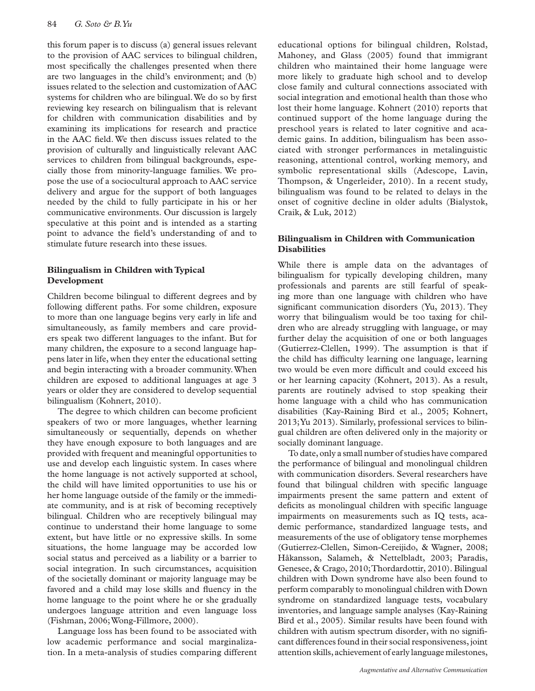this forum paper is to discuss (a) general issues relevant to the provision of AAC services to bilingual children, most specifically the challenges presented when there are two languages in the child's environment; and  $(b)$ issues related to the selection and customization of AAC systems for children who are bilingual. We do so by first reviewing key research on bilingualism that is relevant for children with communication disabilities and by examining its implications for research and practice in the AAC field. We then discuss issues related to the provision of culturally and linguistically relevant AAC services to children from bilingual backgrounds, especially those from minority-language families. We propose the use of a sociocultural approach to AAC service delivery and argue for the support of both languages needed by the child to fully participate in his or her communicative environments. Our discussion is largely speculative at this point and is intended as a starting point to advance the field's understanding of and to stimulate future research into these issues.

## **Bilingualism in Children with Typical Development**

Children become bilingual to different degrees and by following different paths. For some children, exposure to more than one language begins very early in life and simultaneously, as family members and care providers speak two different languages to the infant. But for many children, the exposure to a second language happens later in life, when they enter the educational setting and begin interacting with a broader community. When children are exposed to additional languages at age 3 years or older they are considered to develop sequential bilingualism (Kohnert, 2010).

The degree to which children can become proficient speakers of two or more languages, whether learning simultaneously or sequentially, depends on whether they have enough exposure to both languages and are provided with frequent and meaningful opportunities to use and develop each linguistic system. In cases where the home language is not actively supported at school, the child will have limited opportunities to use his or her home language outside of the family or the immediate community, and is at risk of becoming receptively bilingual. Children who are receptively bilingual may continue to understand their home language to some extent, but have little or no expressive skills. In some situations, the home language may be accorded low social status and perceived as a liability or a barrier to social integration. In such circumstances, acquisition of the societally dominant or majority language may be favored and a child may lose skills and fluency in the home language to the point where he or she gradually undergoes language attrition and even language loss (Fishman, 2006; Wong-Fillmore, 2000).

Language loss has been found to be associated with low academic performance and social marginalization. In a meta-analysis of studies comparing different

educational options for bilingual children, Rolstad, Mahoney, and Glass (2005) found that immigrant children who maintained their home language were more likely to graduate high school and to develop close family and cultural connections associated with social integration and emotional health than those who lost their home language. Kohnert (2010) reports that continued support of the home language during the preschool years is related to later cognitive and academic gains. In addition, bilingualism has been associated with stronger performances in metalinguistic reasoning, attentional control, working memory, and symbolic representational skills (Adescope, Lavin, Thompson, & Ungerleider, 2010). In a recent study, bilingualism was found to be related to delays in the onset of cognitive decline in older adults (Bialystok, Craik, &Luk, 2012)

## **Bilingualism in Children with Communication Disabilities**

While there is ample data on the advantages of bilingualism for typically developing children, many professionals and parents are still fearful of speaking more than one language with children who have significant communication disorders (Yu, 2013). They worry that bilingualism would be too taxing for children who are already struggling with language, or may further delay the acquisition of one or both languages (Gutierrez-Clellen, 1999). The assumption is that if the child has difficulty learning one language, learning two would be even more difficult and could exceed his or her learning capacity (Kohnert, 2013). As a result, parents are routinely advised to stop speaking their home language with a child who has communication disabilities (Kay-Raining Bird et al., 2005; Kohnert, 2013; Yu 2013). Similarly, professional services to bilingual children are often delivered only in the majority or socially dominant language.

To date, only a small number of studies have compared the performance of bilingual and monolingual children with communication disorders. Several researchers have found that bilingual children with specific language impairments present the same pattern and extent of deficits as monolingual children with specific language impairments on measurements such as IQ tests, academic performance, standardized language tests, and measurements of the use of obligatory tense morphemes (Gutierrez-Clellen, Simon-Cereijido, & Wagner, 2008; Håkansson, Salameh, & Nettelbladt, 2003; Paradis, Genesee, & Crago, 2010; Thordardottir, 2010). Bilingual children with Down syndrome have also been found to perform comparably to monolingual children with Down syndrome on standardized language tests, vocabulary inventories, and language sample analyses (Kay-Raining Bird et al., 2005). Similar results have been found with children with autism spectrum disorder, with no significant differences found in their social responsiveness, joint attention skills, achievement of early language milestones,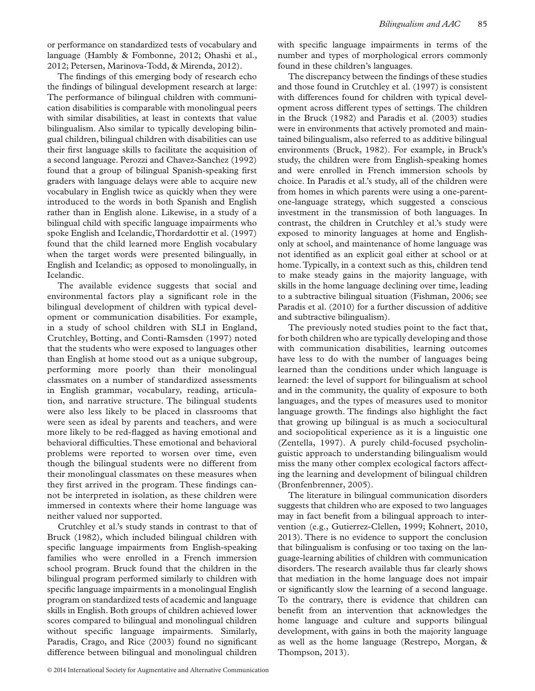or performance on standardized tests of vocabulary and language (Hambly & Fombonne, 2012; Ohashi et al., 2012; Petersen, Marinova-Todd, & Mirenda, 2012).

The findings of this emerging body of research echo the findings of bilingual development research at large: The performance of bilingual children with communication disabilities is comparable with monolingual peers with similar disabilities, at least in contexts that value bilingualism. Also similar to typically developing bilingual children, bilingual children with disabilities can use their first language skills to facilitate the acquisition of a second language. Perozzi and Chavez-Sanchez (1992) found that a group of bilingual Spanish-speaking first graders with language delays were able to acquire new vocabulary in English twice as quickly when they were introduced to the words in both Spanish and English rather than in English alone. Likewise, in a study of a bilingual child with specific language impairments who spoke English and Icelandic, Thordardottir et al. (1997) found that the child learned more English vocabulary when the target words were presented bilingually, in English and Icelandic; as opposed to monolingually, in Icelandic.

The available evidence suggests that social and environmental factors play a significant role in the bilingual development of children with typical development or communication disabilities. For example, in a study of school children with SLI in England, Crutchley, Botting, and Conti-Ramsden (1997) noted that the students who were exposed to languages other than English at home stood out as a unique subgroup, performing more poorly than their monolingual classmates on a number of standardized assessments in English grammar, vocabulary, reading, articulation, and narrative structure. The bilingual students were also less likely to be placed in classrooms that were seen as ideal by parents and teachers, and were more likely to be red-flagged as having emotional and behavioral difficulties. These emotional and behavioral problems were reported to worsen over time, even though the bilingual students were no different from their monolingual classmates on these measures when they first arrived in the program. These findings cannot be interpreted in isolation, as these children were immersed in contexts where their home language was neither valued nor supported.

Crutchley et al.'s study stands in contrast to that of Bruck (1982), which included bilingual children with specific language impairments from English-speaking families who were enrolled in a French immersion school program. Bruck found that the children in the bilingual program performed similarly to children with specific language impairments in a monolingual English program on standardized tests of academic and language skills in English. Both groups of children achieved lower scores compared to bilingual and monolingual children without specific language impairments. Similarly, Paradis, Crago, and Rice (2003) found no significant difference between bilingual and monolingual children

with specific language impairments in terms of the number and types of morphological errors commonly found in these children's languages.

The discrepancy between the findings of these studies and those found in Crutchley et al. (1997) is consistent with differences found for children with typical development across different types of settings. The children in the Bruck (1982) and Paradis et al. (2003) studies were in environments that actively promoted and maintained bilingualism, also referred to as additive bilingual environments (Bruck, 1982). For example, in Bruck's study, the children were from English-speaking homes and were enrolled in French immersion schools by choice. In Paradis et al.'s study, all of the children were from homes in which parents were using a one-parentone-language strategy, which suggested a conscious investment in the transmission of both languages. In contrast, the children in Crutchley et al.'s study were exposed to minority languages at home and Englishonly at school, and maintenance of home language was not identified as an explicit goal either at school or at home. Typically, in a context such as this, children tend to make steady gains in the majority language, with skills in the home language declining over time, leading to a subtractive bilingual situation (Fishman, 2006; see Paradis et al. (2010) for a further discussion of additive and subtractive bilingualism).

The previously noted studies point to the fact that, for both children who are typically developing and those with communication disabilities, learning outcomes have less to do with the number of languages being learned than the conditions under which language is learned: the level of support for bilingualism at school and in the community, the quality of exposure to both languages, and the types of measures used to monitor language growth. The findings also highlight the fact that growing up bilingual is as much a sociocultural and sociopolitical experience as it is a linguistic one (Zentella, 1997). A purely child-focused psycholinguistic approach to understanding bilingualism would miss the many other complex ecological factors affecting the learning and development of bilingual children (Bronfenbrenner, 2005).

The literature in bilingual communication disorders suggests that children who are exposed to two languages may in fact benefit from a bilingual approach to intervention (e.g., Gutierrez-Clellen, 1999; Kohnert, 2010, 2013). There is no evidence to support the conclusion that bilingualism is confusing or too taxing on the language-learning abilities of children with communication disorders. The research available thus far clearly shows that mediation in the home language does not impair or significantly slow the learning of a second language. To the contrary, there is evidence that children can benefit from an intervention that acknowledges the home language and culture and supports bilingual development, with gains in both the majority language as well as the home language (Restrepo, Morgan, & Thompson, 2013).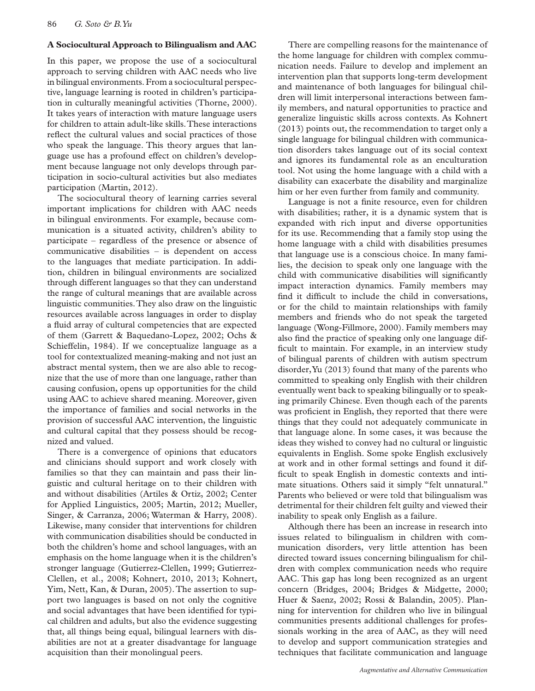#### **A Sociocultural Approach to Bilingualism and AAC**

In this paper, we propose the use of a sociocultural approach to serving children with AAC needs who live in bilingual environments. From a sociocultural perspective, language learning is rooted in children's participation in culturally meaningful activities (Thorne, 2000). It takes years of interaction with mature language users for children to attain adult-like skills. These interactions reflect the cultural values and social practices of those who speak the language. This theory argues that language use has a profound effect on children's development because language not only develops through participation in socio-cultural activities but also mediates participation (Martin, 2012).

The sociocultural theory of learning carries several important implications for children with AAC needs in bilingual environments. For example, because communication is a situated activity, children's ability to participate – regardless of the presence or absence of communicative disabilities  $-$  is dependent on access to the languages that mediate participation. In addition, children in bilingual environments are socialized through different languages so that they can understand the range of cultural meanings that are available across linguistic communities. They also draw on the linguistic resources available across languages in order to display a fluid array of cultural competencies that are expected of them (Garrett & Baquedano-Lopez, 2002; Ochs & Schieffelin, 1984). If we conceptualize language as a tool for contextualized meaning-making and not just an abstract mental system, then we are also able to recognize that the use of more than one language, rather than causing confusion, opens up opportunities for the child using AAC to achieve shared meaning. Moreover, given the importance of families and social networks in the provision of successful AAC intervention, the linguistic and cultural capital that they possess should be recognized and valued.

There is a convergence of opinions that educators and clinicians should support and work closely with families so that they can maintain and pass their linguistic and cultural heritage on to their children with and without disabilities (Artiles & Ortiz, 2002; Center for Applied Linguistics, 2005; Martin, 2012; Mueller, Singer, & Carranza, 2006; Waterman & Harry, 2008). Likewise, many consider that interventions for children with communication disabilities should be conducted in both the children's home and school languages, with an emphasis on the home language when it is the children's stronger language (Gutierrez-Clellen, 1999; Gutierrez-Clellen, et al., 2008; Kohnert, 2010, 2013; Kohnert, Yim, Nett, Kan, & Duran, 2005). The assertion to support two languages is based on not only the cognitive and social advantages that have been identified for typical children and adults, but also the evidence suggesting that, all things being equal, bilingual learners with disabilities are not at a greater disadvantage for language acquisition than their monolingual peers.

There are compelling reasons for the maintenance of the home language for children with complex communication needs. Failure to develop and implement an intervention plan that supports long-term development and maintenance of both languages for bilingual children will limit interpersonal interactions between family members, and natural opportunities to practice and generalize linguistic skills across contexts. As Kohnert (2013) points out, the recommendation to target only a single language for bilingual children with communication disorders takes language out of its social context and ignores its fundamental role as an enculturation tool. Not using the home language with a child with a disability can exacerbate the disability and marginalize him or her even further from family and community.

Language is not a finite resource, even for children with disabilities; rather, it is a dynamic system that is expanded with rich input and diverse opportunities for its use. Recommending that a family stop using the home language with a child with disabilities presumes that language use is a conscious choice. In many families, the decision to speak only one language with the child with communicative disabilities will significantly impact interaction dynamics. Family members may find it difficult to include the child in conversations, or for the child to maintain relationships with family members and friends who do not speak the targeted language (Wong-Fillmore, 2000). Family members may also find the practice of speaking only one language difficult to maintain. For example, in an interview study of bilingual parents of children with autism spectrum disorder, Yu (2013) found that many of the parents who committed to speaking only English with their children eventually went back to speaking bilingually or to speaking primarily Chinese. Even though each of the parents was proficient in English, they reported that there were things that they could not adequately communicate in that language alone. In some cases, it was because the ideas they wished to convey had no cultural or linguistic equivalents in English. Some spoke English exclusively at work and in other formal settings and found it difficult to speak English in domestic contexts and intimate situations. Others said it simply "felt unnatural." Parents who believed or were told that bilingualism was detrimental for their children felt guilty and viewed their inability to speak only English as a failure.

Although there has been an increase in research into issues related to bilingualism in children with communication disorders, very little attention has been directed toward issues concerning bilingualism for children with complex communication needs who require AAC. This gap has long been recognized as an urgent concern (Bridges, 2004; Bridges & Midgette, 2000; Huer & Saenz, 2002; Rossi & Balandin, 2005). Planning for intervention for children who live in bilingual communities presents additional challenges for professionals working in the area of AAC, as they will need to develop and support communication strategies and techniques that facilitate communication and language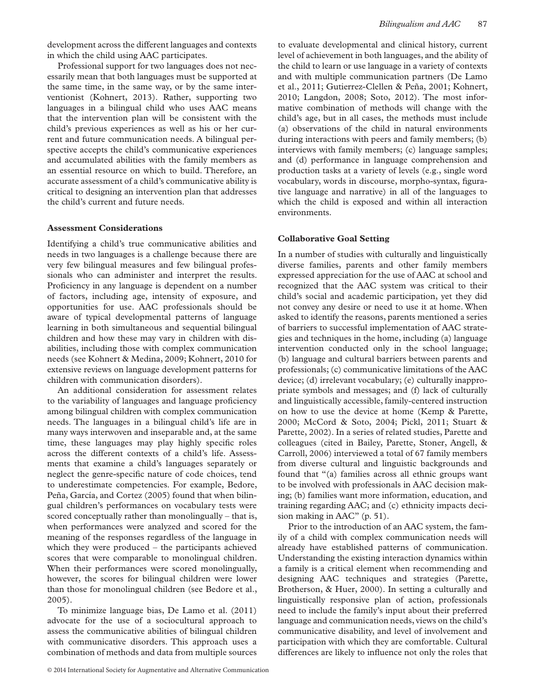development across the different languages and contexts in which the child using AAC participates.

Professional support for two languages does not necessarily mean that both languages must be supported at the same time, in the same way, or by the same interventionist (Kohnert, 2013). Rather, supporting two languages in a bilingual child who uses AAC means that the intervention plan will be consistent with the child's previous experiences as well as his or her current and future communication needs. A bilingual perspective accepts the child's communicative experiences and accumulated abilities with the family members as an essential resource on which to build. Therefore, an accurate assessment of a child's communicative ability is critical to designing an intervention plan that addresses the child's current and future needs.

#### **Assessment Considerations**

Identifying a child's true communicative abilities and needs in two languages is a challenge because there are very few bilingual measures and few bilingual professionals who can administer and interpret the results. Proficiency in any language is dependent on a number of factors, including age, intensity of exposure, and opportunities for use. AAC professionals should be aware of typical developmental patterns of language learning in both simultaneous and sequential bilingual children and how these may vary in children with disabilities, including those with complex communication needs (see Kohnert & Medina, 2009; Kohnert, 2010 for extensive reviews on language development patterns for children with communication disorders).

An additional consideration for assessment relates to the variability of languages and language proficiency among bilingual children with complex communication needs. The languages in a bilingual child's life are in many ways interwoven and inseparable and, at the same time, these languages may play highly specific roles across the different contexts of a child's life. Assessments that examine a child's languages separately or neglect the genre-specific nature of code choices, tend to underestimate competencies. For example, Bedore, Peña, García, and Cortez (2005) found that when bilingual children's performances on vocabulary tests were scored conceptually rather than monolingually – that is, when performances were analyzed and scored for the meaning of the responses regardless of the language in which they were produced  $-$  the participants achieved scores that were comparable to monolingual children. When their performances were scored monolingually, however, the scores for bilingual children were lower than those for monolingual children (see Bedore et al., 2005).

To minimize language bias, De Lamo et al. (2011) advocate for the use of a sociocultural approach to assess the communicative abilities of bilingual children with communicative disorders. This approach uses a combination of methods and data from multiple sources

to evaluate developmental and clinical history, current level of achievement in both languages, and the ability of the child to learn or use language in a variety of contexts and with multiple communication partners (De Lamo et al., 2011; Gutierrez-Clellen & Peña, 2001; Kohnert, 2010; Langdon, 2008; Soto, 2012). The most informative combination of methods will change with the child's age, but in all cases, the methods must include (a) observations of the child in natural environments during interactions with peers and family members; (b) interviews with family members; (c) language samples; and (d) performance in language comprehension and production tasks at a variety of levels (e.g., single word vocabulary, words in discourse, morpho-syntax, figurative language and narrative) in all of the languages to which the child is exposed and within all interaction environments.

#### **Collaborative Goal Setting**

In a number of studies with culturally and linguistically diverse families, parents and other family members expressed appreciation for the use of AAC at school and recognized that the AAC system was critical to their child's social and academic participation, yet they did not convey any desire or need to use it at home. When asked to identify the reasons, parents mentioned a series of barriers to successful implementation of AAC strategies and techniques in the home, including (a) language intervention conducted only in the school language; (b) language and cultural barriers between parents and professionals; (c) communicative limitations of the AAC device; (d) irrelevant vocabulary; (e) culturally inappropriate symbols and messages; and (f) lack of culturally and linguistically accessible, family-centered instruction on how to use the device at home (Kemp & Parette, 2000; McCord & Soto, 2004; Pickl, 2011; Stuart & Parette, 2002). In a series of related studies, Parette and colleagues (cited in Bailey, Parette, Stoner, Angell, & Carroll, 2006) interviewed a total of 67 family members from diverse cultural and linguistic backgrounds and found that "(a) families across all ethnic groups want to be involved with professionals in AAC decision making; (b) families want more information, education, and training regarding AAC; and (c) ethnicity impacts decision making in AAC"  $(p. 51)$ .

Prior to the introduction of an AAC system, the family of a child with complex communication needs will already have established patterns of communication. Understanding the existing interaction dynamics within a family is a critical element when recommending and designing AAC techniques and strategies (Parette, Brotherson, & Huer, 2000). In setting a culturally and linguistically responsive plan of action, professionals need to include the family's input about their preferred language and communication needs, views on the child's communicative disability, and level of involvement and participation with which they are comfortable. Cultural differences are likely to influence not only the roles that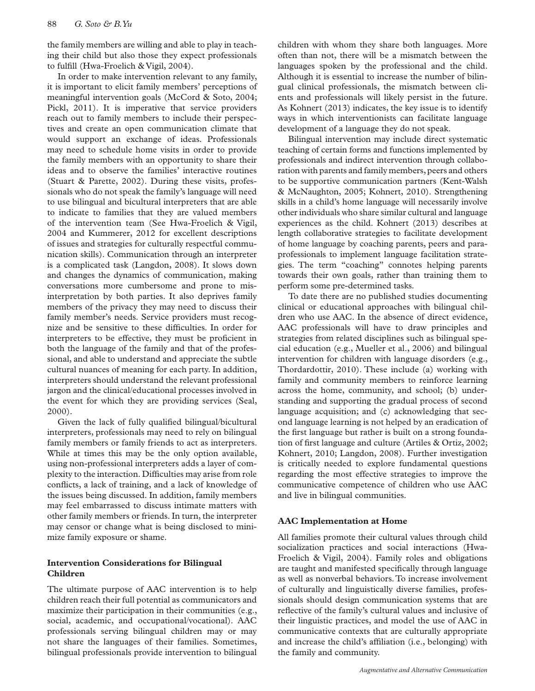the family members are willing and able to play in teaching their child but also those they expect professionals to fulfill (Hwa-Froelich & Vigil, 2004).

In order to make intervention relevant to any family, it is important to elicit family members' perceptions of meaningful intervention goals (McCord & Soto, 2004; Pickl, 2011). It is imperative that service providers reach out to family members to include their perspectives and create an open communication climate that would support an exchange of ideas. Professionals may need to schedule home visits in order to provide the family members with an opportunity to share their ideas and to observe the families' interactive routines (Stuart & Parette, 2002). During these visits, professionals who do not speak the family's language will need to use bilingual and bicultural interpreters that are able to indicate to families that they are valued members of the intervention team (See Hwa-Froelich  $&$  Vigil, 2004 and Kummerer, 2012 for excellent descriptions of issues and strategies for culturally respectful communication skills). Communication through an interpreter is a complicated task (Langdon, 2008). It slows down and changes the dynamics of communication, making conversations more cumbersome and prone to misinterpretation by both parties. It also deprives family members of the privacy they may need to discuss their family member's needs. Service providers must recognize and be sensitive to these difficulties. In order for interpreters to be effective, they must be proficient in both the language of the family and that of the professional, and able to understand and appreciate the subtle cultural nuances of meaning for each party. In addition, interpreters should understand the relevant professional jargon and the clinical/educational processes involved in the event for which they are providing services (Seal, 2000).

Given the lack of fully qualified bilingual/bicultural interpreters, professionals may need to rely on bilingual family members or family friends to act as interpreters. While at times this may be the only option available, using non-professional interpreters adds a layer of complexity to the interaction. Difficulties may arise from role conflicts, a lack of training, and a lack of knowledge of the issues being discussed. In addition, family members may feel embarrassed to discuss intimate matters with other family members or friends. In turn, the interpreter may censor or change what is being disclosed to minimize family exposure or shame.

## **Intervention Considerations for Bilingual Children**

The ultimate purpose of AAC intervention is to help children reach their full potential as communicators and maximize their participation in their communities (e.g., social, academic, and occupational/vocational). AAC professionals serving bilingual children may or may not share the languages of their families. Sometimes, bilingual professionals provide intervention to bilingual children with whom they share both languages. More often than not, there will be a mismatch between the languages spoken by the professional and the child. Although it is essential to increase the number of bilingual clinical professionals, the mismatch between clients and professionals will likely persist in the future. As Kohnert (2013) indicates, the key issue is to identify ways in which interventionists can facilitate language development of a language they do not speak.

Bilingual intervention may include direct systematic teaching of certain forms and functions implemented by professionals and indirect intervention through collaboration with parents and family members, peers and others to be supportive communication partners (Kent-Walsh &McNaughton, 2005; Kohnert, 2010). Strengthening skills in a child's home language will necessarily involve other individuals who share similar cultural and language experiences as the child. Kohnert (2013) describes at length collaborative strategies to facilitate development of home language by coaching parents, peers and paraprofessionals to implement language facilitation strategies. The term "coaching" connotes helping parents towards their own goals, rather than training them to perform some pre-determined tasks.

To date there are no published studies documenting clinical or educational approaches with bilingual children who use AAC. In the absence of direct evidence, AAC professionals will have to draw principles and strategies from related disciplines such as bilingual special education (e.g., Mueller et al., 2006) and bilingual intervention for children with language disorders (e.g., Thordardottir, 2010). These include (a) working with family and community members to reinforce learning across the home, community, and school; (b) understanding and supporting the gradual process of second language acquisition; and (c) acknowledging that second language learning is not helped by an eradication of the first language but rather is built on a strong foundation of first language and culture (Artiles & Ortiz, 2002; Kohnert, 2010; Langdon, 2008). Further investigation is critically needed to explore fundamental questions regarding the most effective strategies to improve the communicative competence of children who use AAC and live in bilingual communities.

## **AAC Implementation at Home**

All families promote their cultural values through child socialization practices and social interactions (Hwa-Froelich & Vigil, 2004). Family roles and obligations are taught and manifested specifically through language as well as nonverbal behaviors. To increase involvement of culturally and linguistically diverse families, professionals should design communication systems that are reflective of the family's cultural values and inclusive of their linguistic practices, and model the use of AAC in communicative contexts that are culturally appropriate and increase the child's affiliation (i.e., belonging) with the family and community.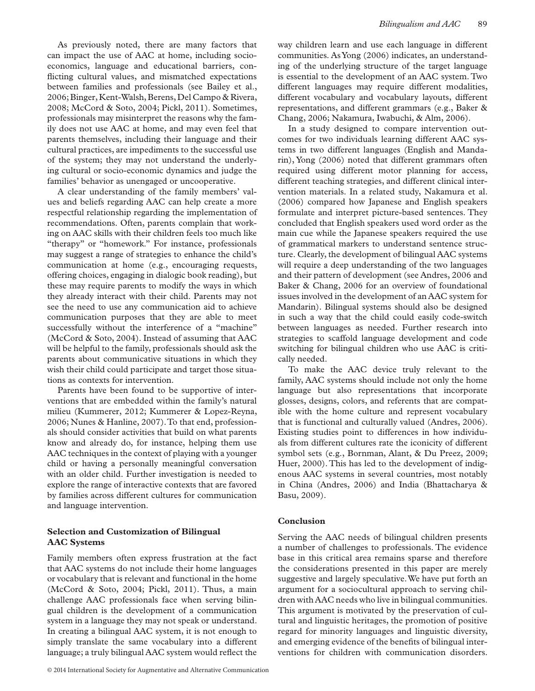As previously noted, there are many factors that can impact the use of AAC at home, including socioeconomics, language and educational barriers, conflicting cultural values, and mismatched expectations between families and professionals (see Bailey et al., 2006; Binger, Kent-Walsh, Berens, Del Campo & Rivera, 2008; McCord & Soto, 2004; Pickl, 2011). Sometimes, professionals may misinterpret the reasons why the family does not use AAC at home, and may even feel that parents themselves, including their language and their cultural practices, are impediments to the successful use of the system; they may not understand the underlying cultural or socio-economic dynamics and judge the families' behavior as unengaged or uncooperative.

A clear understanding of the family members' values and beliefs regarding AAC can help create a more respectful relationship regarding the implementation of recommendations. Often, parents complain that working on AAC skills with their children feels too much like "therapy" or "homework." For instance, professionals may suggest a range of strategies to enhance the child's communication at home (e.g., encouraging requests, offering choices, engaging in dialogic book reading), but these may require parents to modify the ways in which they already interact with their child. Parents may not see the need to use any communication aid to achieve communication purposes that they are able to meet successfully without the interference of a "machine"  $(McCord \& Soto, 2004)$ . Instead of assuming that AAC will be helpful to the family, professionals should ask the parents about communicative situations in which they wish their child could participate and target those situations as contexts for intervention.

Parents have been found to be supportive of interventions that are embedded within the family's natural milieu (Kummerer, 2012; Kummerer & Lopez-Reyna, 2006; Nunes & Hanline, 2007). To that end, professionals should consider activities that build on what parents know and already do, for instance, helping them use AAC techniques in the context of playing with a younger child or having a personally meaningful conversation with an older child. Further investigation is needed to explore the range of interactive contexts that are favored by families across different cultures for communication and language intervention.

## **Selection and Customization of Bilingual AAC Systems**

Family members often express frustration at the fact that AAC systems do not include their home languages or vocabulary that is relevant and functional in the home (McCord & Soto, 2004; Pickl, 2011). Thus, a main challenge AAC professionals face when serving bilingual children is the development of a communication system in a language they may not speak or understand. In creating a bilingual AAC system, it is not enough to simply translate the same vocabulary into a different language; a truly bilingual AAC system would reflect the

way children learn and use each language in different communities. As Yong (2006) indicates, an understanding of the underlying structure of the target language is essential to the development of an AAC system. Two different languages may require different modalities, different vocabulary and vocabulary layouts, different representations, and different grammars (e.g., Baker & Chang, 2006; Nakamura, Iwabuchi, & Alm, 2006).

In a study designed to compare intervention outcomes for two individuals learning different AAC systems in two different languages (English and Mandarin), Yong (2006) noted that different grammars often required using different motor planning for access, different teaching strategies, and different clinical intervention materials. In a related study, Nakamura et al. (2006) compared how Japanese and English speakers formulate and interpret picture-based sentences. They concluded that English speakers used word order as the main cue while the Japanese speakers required the use of grammatical markers to understand sentence structure. Clearly, the development of bilingual AAC systems will require a deep understanding of the two languages and their pattern of development (see Andres, 2006 and Baker & Chang, 2006 for an overview of foundational issues involved in the development of an AAC system for Mandarin). Bilingual systems should also be designed in such a way that the child could easily code-switch between languages as needed. Further research into strategies to scaffold language development and code switching for bilingual children who use AAC is critically needed.

To make the AAC device truly relevant to the family, AAC systems should include not only the home language but also representations that incorporate glosses, designs, colors, and referents that are compatible with the home culture and represent vocabulary that is functional and culturally valued (Andres, 2006). Existing studies point to differences in how individuals from different cultures rate the iconicity of different symbol sets (e.g., Bornman, Alant, & Du Preez, 2009; Huer, 2000). This has led to the development of indigenous AAC systems in several countries, most notably in China (Andres, 2006) and India (Bhattacharya & Basu, 2009).

## **Conclusion**

Serving the AAC needs of bilingual children presents a number of challenges to professionals. The evidence base in this critical area remains sparse and therefore the considerations presented in this paper are merely suggestive and largely speculative. We have put forth an argument for a sociocultural approach to serving children with AAC needs who live in bilingual communities. This argument is motivated by the preservation of cultural and linguistic heritages, the promotion of positive regard for minority languages and linguistic diversity, and emerging evidence of the benefits of bilingual interventions for children with communication disorders.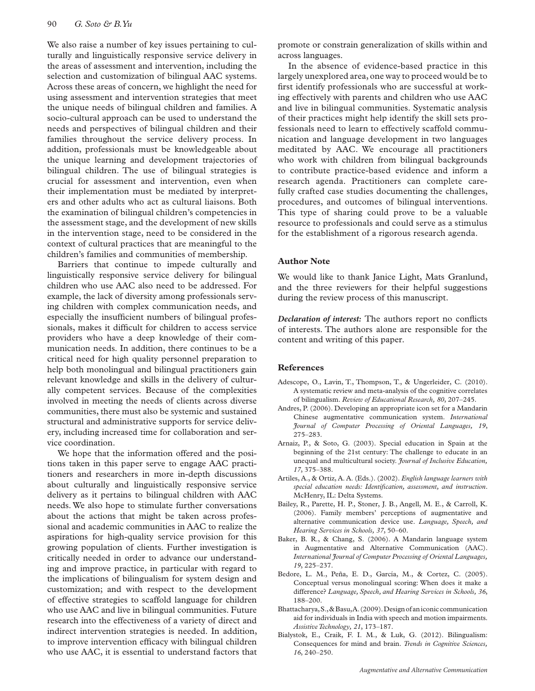We also raise a number of key issues pertaining to culturally and linguistically responsive service delivery in the areas of assessment and intervention, including the selection and customization of bilingual AAC systems. Across these areas of concern, we highlight the need for using assessment and intervention strategies that meet the unique needs of bilingual children and families. A socio-cultural approach can be used to understand the needs and perspectives of bilingual children and their families throughout the service delivery process. In addition, professionals must be knowledgeable about the unique learning and development trajectories of bilingual children. The use of bilingual strategies is crucial for assessment and intervention, even when their implementation must be mediated by interpreters and other adults who act as cultural liaisons. Both the examination of bilingual children's competencies in the assessment stage, and the development of new skills in the intervention stage, need to be considered in the context of cultural practices that are meaningful to the children's families and communities of membership.

Barriers that continue to impede culturally and linguistically responsive service delivery for bilingual children who use AAC also need to be addressed. For example, the lack of diversity among professionals serving children with complex communication needs, and especially the insufficient numbers of bilingual professionals, makes it difficult for children to access service providers who have a deep knowledge of their communication needs. In addition, there continues to be a critical need for high quality personnel preparation to help both monolingual and bilingual practitioners gain relevant knowledge and skills in the delivery of culturally competent services. Because of the complexities involved in meeting the needs of clients across diverse communities, there must also be systemic and sustained structural and administrative supports for service delivery, including increased time for collaboration and service coordination.

We hope that the information offered and the positions taken in this paper serve to engage AAC practitioners and researchers in more in-depth discussions about culturally and linguistically responsive service delivery as it pertains to bilingual children with AAC needs. We also hope to stimulate further conversations about the actions that might be taken across professional and academic communities in AAC to realize the aspirations for high-quality service provision for this growing population of clients. Further investigation is critically needed in order to advance our understanding and improve practice, in particular with regard to the implications of bilingualism for system design and customization; and with respect to the development of effective strategies to scaffold language for children who use AAC and live in bilingual communities. Future research into the effectiveness of a variety of direct and indirect intervention strategies is needed. In addition, to improve intervention efficacy with bilingual children who use AAC, it is essential to understand factors that

promote or constrain generalization of skills within and across languages.

In the absence of evidence-based practice in this largely unexplored area, one way to proceed would be to first identify professionals who are successful at working effectively with parents and children who use AAC and live in bilingual communities. Systematic analysis of their practices might help identify the skill sets professionals need to learn to effectively scaffold communication and language development in two languages meditated by AAC. We encourage all practitioners who work with children from bilingual backgrounds to contribute practice-based evidence and inform a research agenda. Practitioners can complete carefully crafted case studies documenting the challenges, procedures, and outcomes of bilingual interventions. This type of sharing could prove to be a valuable resource to professionals and could serve as a stimulus for the establishment of a rigorous research agenda.

#### **Author Note**

We would like to thank Janice Light, Mats Granlund, and the three reviewers for their helpful suggestions during the review process of this manuscript.

*Declaration of interest:* The authors report no conflicts of interests. The authors alone are responsible for the content and writing of this paper.

#### **References**

- Adescope, O., Lavin, T., Thompson, T., & Ungerleider, C. (2010). A systematic review and meta-analysis of the cognitive correlates of bilingualism . *Review of Educational Research, 80*, 207 – 245 .
- Andres, P. (2006). Developing an appropriate icon set for a Mandarin Chinese augmentative communication system. *International Journal of Computer Processing of Oriental Languages, 19*,  $275 - 283$ .
- Arnaiz, P., & Soto, G. (2003). Special education in Spain at the beginning of the 21st century: The challenge to educate in an unequal and multicultural society . *Journal of Inclusive Education, 17*, 375 – 388 .
- Artiles, A., & Ortiz, A. A. (Eds.). (2002). *English language learners with special education needs: Identifi cation, assessment, and instruction*. McHenry, IL: Delta Systems.
- Bailey, R., Parette, H. P., Stoner, J. B., Angell, M. E., & Carroll, K. (2006). Family members' perceptions of augmentative and alternative communication device use . *Language, Speech, and Hearing Services in Schools, 37, 50-60.*
- Baker, B. R., & Chang, S. (2006). A Mandarin language system in Augmentative and Alternative Communication (AAC). *International Journal of Computer Processing of Oriental Languages, 19*, 225 – 237 .
- Bedore, L. M., Peña, E. D., García, M., & Cortez, C. (2005). Conceptual versus monolingual scoring: When does it make a difference? *Language, Speech, and Hearing Services in Schools, 36*, 188 – 200.
- Bhattacharya, S., & Basu, A. (2009). Design of an iconic communication aid for individuals in India with speech and motion impairments . *Assistive Technology, 21*, 173 – 187 .
- Bialystok, E., Craik, F. I. M., & Luk, G. (2012). Bilingualism: Consequences for mind and brain . *Trends in Cognitive Sciences, 16*, 240-250.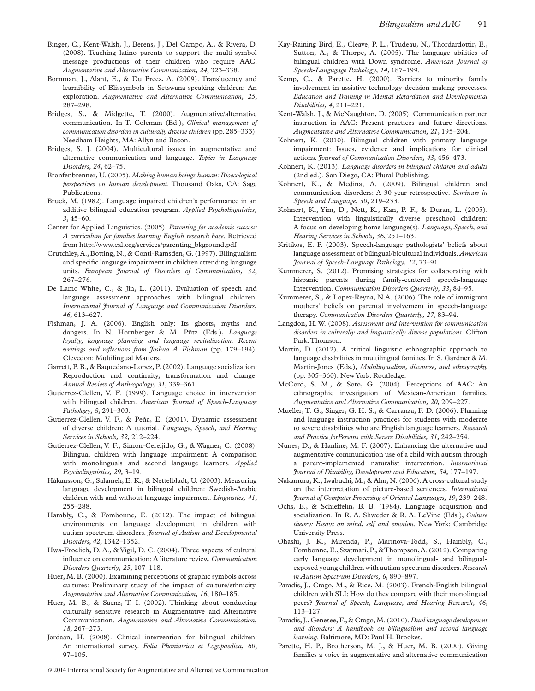- Binger, C., Kent-Walsh, J., Berens, J., Del Campo, A., & Rivera, D. (2008). Teaching latino parents to support the multi-symbol message productions of their children who require AAC . Augmentative and Alternative Communication, 24, 323-338.
- Bornman, J., Alant, E., & Du Preez, A. (2009). Translucency and learnibility of Blissymbols in Setswana-speaking children: An exploration . *Augmentative and Alternative Communication, 25*, 287-298
- Bridges, S., & Midgette, T. (2000). Augmentative/alternative communication. In T. Coleman (Ed.), *Clinical management of communication disorders in culturally diverse children* (pp. 285–333). Needham Heights, MA: Allyn and Bacon.
- Bridges, S. J. (2004). Multicultural issues in augmentative and alternative communication and language . *Topics in Language Disorders, 24, 62-75.*
- Bronfenbrenner, U. (2005). *Making human beings human: Bioecological perspectives on human development*. Thousand Oaks, CA: Sage Publications.
- Bruck, M. (1982). Language impaired children's performance in an additive bilingual education program . *Applied Psycholinguistics, 3*, 45 – 60 .
- Center for Applied Linguistics . (2005) . *Parenting for academic success: A curriculum for families learning English research base*. Retrieved from http://www.cal.org/services/parenting\_bkground.pdf
- Crutchley, A., Botting, N., & Conti-Ramsden, G. (1997). Bilingualism and specific language impairment in children attending language units . *European Journal of Disorders of Communication, 32*,  $267 - 276$ .
- De Lamo White, C., & Jin, L. (2011). Evaluation of speech and language assessment approaches with bilingual children. *International Journal of Language and Communication Disorders, 46*, 613 – 627 .
- Fishman, J. A. (2006). English only: Its ghosts, myths and dangers. In N. Hornberger & M. Pütz (Eds.), *Language loyalty, language planning and language revitalization: Recent*  writings and reflections from Joshua A. Fishman (pp. 179-194). Clevedon: Multilingual Matters .
- Garrett, P. B., & Baquedano-Lopez, P. (2002). Language socialization: Reproduction and continuity, transformation and change. *Annual Review of Anthropology, 31*, 339 – 361 .
- Gutierrez-Clellen, V. F. (1999). Language choice in intervention with bilingual children . *American Journal of Speech-Language*  Pathology, 8, 291-303.
- Gutierrez-Clellen, V. F., & Peña, E. (2001). Dynamic assessment of diverse children: A tutorial. *Language*, Speech, and Hearing *Services in Schools, 32*, 212 – 224 .
- Gutierrez-Clellen, V. F., Simon-Cereijido, G., & Wagner, C. (2008). Bilingual children with language impairment: A comparison with monolinguals and second langauge learners . *Applied Psycholinguistics*, 29, 3-19.
- Håkansson, G., Salameh, E. K., & Nettelbladt, U. (2003). Measuring language development in bilingual children: Swedish-Arabic children with and without language impairment. *Linguistics*, 41, 255 – 288 .
- Hambly, C., & Fombonne, E. (2012). The impact of bilingual environments on language development in children with autism spectrum disorders . *Journal of Autism and Developmental Disorders*, *42*, 1342 – 1352 .
- Hwa-Froelich, D. A., & Vigil, D. C. (2004). Three aspects of cultural influence on communication: A literature review. *Communication Disorders Quarterly, 25, 107–118.*
- Huer, M. B. (2000). Examining perceptions of graphic symbols across cultures: Preliminary study of the impact of culture/ethnicity. Augmentative and Alternative Communication, 16, 180-185.
- Huer, M. B., & Saenz, T. I. (2002). Thinking about conducting culturally sensitive research in Augmentative and Alternative Communication . *Augmentative and Alternative Communication, 18*, 267-273.
- Jordaan, H. (2008). Clinical intervention for bilingual children: An international survey . *Folia Phoniatrica et Logopaedica, 60*,  $97 - 105$ .
- Kay-Raining Bird, E., Cleave, P. L., Trudeau, N., Thordardottir, E., Sutton, A., & Thorpe, A. (2005). The language abilities of bilingual children with Down syndrome. American Journal of Speech-Langugage Pathology, 14, 187-199.
- Kemp, C., & Parette, H. (2000). Barriers to minority family involvement in assistive technology decision-making processes . *Education and Training in Mental Retardation and Developmental Disabilities*, 4, 211-221.
- Kent-Walsh, J., & McNaughton, D. (2005). Communication partner instruction in AAC: Present practices and future directions. Augmentative and Alternative Communication, 21, 195-204.
- Kohnert, K. (2010). Bilingual children with primary language impairment: Issues, evidence and implications for clinical actions. *Journal of Communication Disorders*, 43, 456-473.
- Kohnert, K. (2013). *Language disorders in bilingual children and adults* (2nd ed.). San Diego, CA: Plural Publishing.
- Kohnert, K., & Medina, A. (2009). Bilingual children and communication disorders: A 30-year retrospective. Seminars in *Speech and Language, 30*, 219 – 233 .
- Kohnert, K., Yim, D., Nett, K., Kan, P. F., & Duran, L. (2005). Intervention with linguistically diverse preschool children: A focus on developing home language(s) . *Language, Speech, and Hearing Services in Schools, 36, 251-163.*
- Kritikos, E. P. (2003). Speech-language pathologists' beliefs about language assessment of bilingual/bicultural individuals . *American Journal of Speech-Language Pathology, 12*, 73 – 91 .
- Kummerer, S. (2012). Promising strategies for collaborating with hispanic parents during family-centered speech-language Intervention. *Communication Disorders Quarterly*, 33, 84-95.
- Kummerer, S., & Lopez-Reyna, N.A. (2006). The role of immigrant mothers' beliefs on parental involvement in speech-language therapy. *Communication Disorders Quarterly*, 27, 83-94.
- Langdon, H. W. (2008). *Assessment and intervention for communication disorders in culturally and linguistically diverse populations*. Clifton Park: Thomson.
- Martin, D. (2012). A critical linguistic ethnographic approach to language disabilities in multilingual families . In S. Gardner & M. Martin-Jones(Eds.) , *Multilingualism, discourse, and ethnography* (pp. 305–360). New York: Routledge.
- McCord, S. M., & Soto, G. (2004). Perceptions of AAC: An ethnographic investigation of Mexican-American families. *Augmentative and Alternative Communication, 20*, 209 – 227 .
- Mueller, T. G., Singer, G. H. S., & Carranza, F. D. (2006). Planning and language instruction practices for students with moderate to severe disabilities who are English language learners . *Research and Practice forPersons with Severe Disabilities, 31*, 242 – 254 .
- Nunes, D., & Hanline, M. F. (2007). Enhancing the alternative and augmentative communication use of a child with autism through a parent-implemented naturalist intervention . *International Journal of Disability, Development and Education, 54*, 177 – 197 .
- Nakamura, K., Iwabuchi, M., & Alm, N. (2006). A cross-cultural study on the interpretation of picture-based sentences . *International Journal of Computer Processing of Oriental Languages, 19*, 239 – 248 .
- Ochs, E., & Schieffelin, B. B. (1984). Language acquisition and socialization. In R. A. Shweder & R. A. LeVine (Eds.), *Culture theory: Essays on mind, self and emotion*. New York: Cambridge University Press.
- Ohashi, J. K., Mirenda, P., Marinova-Todd, S., Hambly, C., Fombonne, E., Szatmari, P., & Thompson, A. (2012). Comparing early language development in monolingual- and bilingualexposed young children with autism spectrum disorders . *Research in Autism Spectrum Disorders, 6*, 890 – 897 .
- Paradis, J., Crago, M., & Rice, M. (2003). French-English bilingual children with SLI: How do they compare with their monolingual peers? *Journal of Speech, Language, and Hearing Research, 46*,  $113 - 127$ .
- Paradis, J., Genesee, F., & Crago, M. (2010). *Dual language development and disorders: A handbook on bilingualism and second language learning*. Baltimore, MD: Paul H. Brookes .
- Parette, H. P., Brotherson, M. J., & Huer, M. B. (2000). Giving families a voice in augmentative and alternative communication